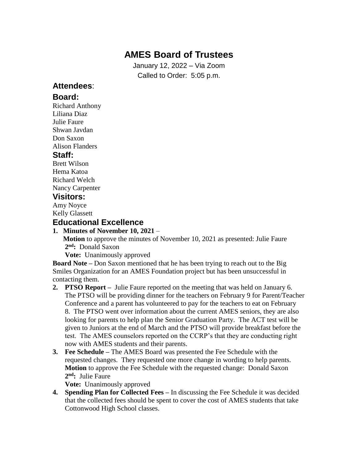### **AMES Board of Trustees**

January 12, 2022 – Via Zoom Called to Order: 5:05 p.m.

### **Attendees**:

#### **Board:**

Richard Anthony Liliana Diaz Julie Faure Shwan Javdan Don Saxon Alison Flanders

#### **Staff:**

Brett Wilson Hema Katoa Richard Welch Nancy Carpenter

### **Visitors:**

Amy Noyce Kelly Glassett

#### **Educational Excellence**

**1. Minutes of November 10, 2021** –

 **Motion** to approve the minutes of November 10, 2021 as presented: Julie Faure **2 nd:** Donald Saxon

**Vote:** Unanimously approved

**Board Note –** Don Saxon mentioned that he has been trying to reach out to the Big Smiles Organization for an AMES Foundation project but has been unsuccessful in contacting them.

- **2. PTSO Report –** Julie Faure reported on the meeting that was held on January 6. The PTSO will be providing dinner for the teachers on February 9 for Parent/Teacher Conference and a parent has volunteered to pay for the teachers to eat on February 8. The PTSO went over information about the current AMES seniors, they are also looking for parents to help plan the Senior Graduation Party. The ACT test will be given to Juniors at the end of March and the PTSO will provide breakfast before the test. The AMES counselors reported on the CCRP's that they are conducting right now with AMES students and their parents.
- **3. Fee Schedule –** The AMES Board was presented the Fee Schedule with the requested changes. They requested one more change in wording to help parents. **Motion** to approve the Fee Schedule with the requested change: Donald Saxon **2 nd:** Julie Faure

**Vote:** Unanimously approved

**4. Spending Plan for Collected Fees –** In discussing the Fee Schedule it was decided that the collected fees should be spent to cover the cost of AMES students that take Cottonwood High School classes.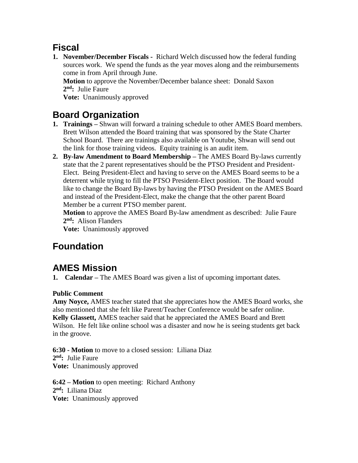### **Fiscal**

**1. November/December Fiscals -** Richard Welch discussed how the federal funding sources work. We spend the funds as the year moves along and the reimbursements come in from April through June.

 **Motion** to approve the November/December balance sheet: Donald Saxon **2 nd:** Julie Faure

**Vote:** Unanimously approved

# **Board Organization**

- **1. Trainings –** Shwan will forward a training schedule to other AMES Board members. Brett Wilson attended the Board training that was sponsored by the State Charter School Board. There are trainings also available on Youtube, Shwan will send out the link for those training videos. Equity training is an audit item.
- **2. By-law Amendment to Board Membership –** The AMES Board By-laws currently state that the 2 parent representatives should be the PTSO President and President- Elect. Being President-Elect and having to serve on the AMES Board seems to be a deterrent while trying to fill the PTSO President-Elect position. The Board would like to change the Board By-laws by having the PTSO President on the AMES Board and instead of the President-Elect, make the change that the other parent Board Member be a current PTSO member parent.

 **Motion** to approve the AMES Board By-law amendment as described: Julie Faure **2 nd:** Alison Flanders

**Vote:** Unanimously approved

# **Foundation**

## **AMES Mission**

**1. Calendar –** The AMES Board was given a list of upcoming important dates.

#### **Public Comment**

**Amy Noyce,** AMES teacher stated that she appreciates how the AMES Board works, she also mentioned that she felt like Parent/Teacher Conference would be safer online. **Kelly Glassett,** AMES teacher said that he appreciated the AMES Board and Brett Wilson. He felt like online school was a disaster and now he is seeing students get back in the groove.

**6:30 - Motion** to move to a closed session: Liliana Diaz **2 nd:** Julie Faure **Vote:** Unanimously approved

**6:42 – Motion** to open meeting: Richard Anthony **2 nd:** Liliana Diaz **Vote:** Unanimously approved